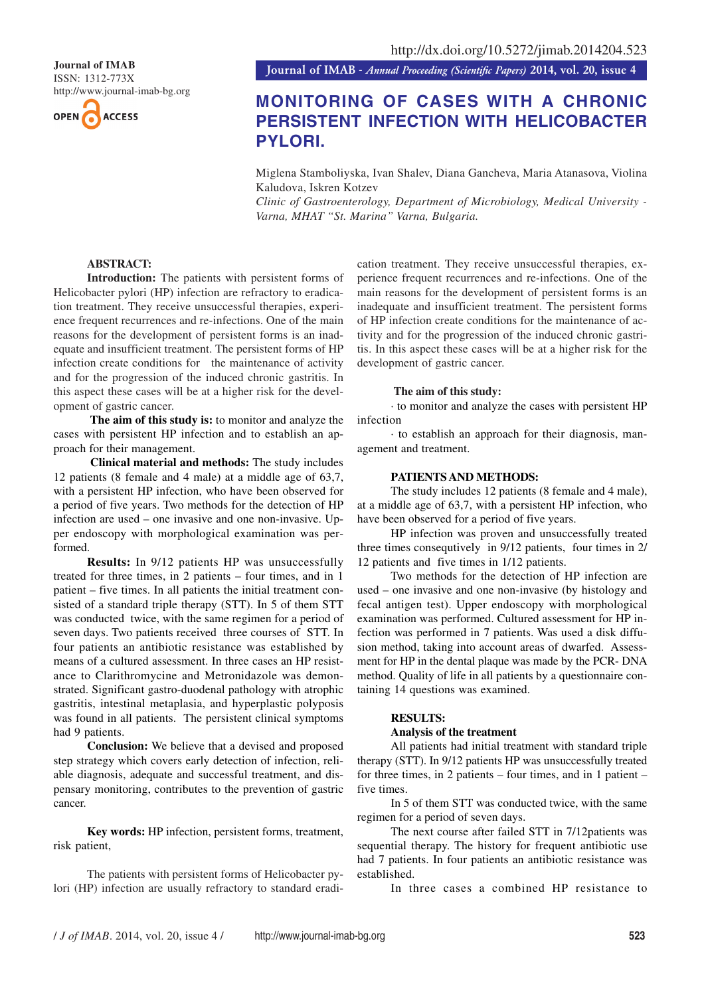

**Journal of IMAB** *- Annual Proceeding (Scientific Papers)* **2014, vol. 20, issue 4**

# **MONITORING OF CASES WITH A CHRONIC PERSISTENT INFECTION WITH HELICOBACTER PYLORI.**

Miglena Stamboliyska, Ivan Shalev, Diana Gancheva, Maria Atanasova, Violina Kaludova, Iskren Kotzev

*Clinic of Gastroenterology, Department of Microbiology, Medical University - Varna, MHAT "St. Marina" Varna, Bulgaria.*

# **ABSTRACT:**

**Introduction:** The patients with persistent forms of Helicobacter pylori (HP) infection are refractory to eradication treatment. They receive unsuccessful therapies, experience frequent recurrences and re-infections. One of the main reasons for the development of persistent forms is an inadequate and insufficient treatment. The persistent forms of HP infection create conditions for the maintenance of activity and for the progression of the induced chronic gastritis. In this aspect these cases will be at a higher risk for the development of gastric cancer.

 **The aim of this study is:** to monitor and analyze the cases with persistent HP infection and to establish an approach for their management.

 **Clinical material and methods:** The study includes 12 patients (8 female and 4 male) at a middle age of 63,7, with a persistent HP infection, who have been observed for a period of five years. Two methods for the detection of HP infection are used – one invasive and one non-invasive. Upper endoscopy with morphological examination was performed.

**Results:** In 9/12 patients HP was unsuccessfully treated for three times, in 2 patients – four times, and in 1 patient – five times. In all patients the initial treatment consisted of a standard triple therapy (STT). In 5 of them STT was conducted twice, with the same regimen for a period of seven days. Two patients received three courses of STT. In four patients an antibiotic resistance was established by means of a cultured assessment. In three cases an HP resistance to Clarithromycine and Metronidazole was demonstrated. Significant gastro-duodenal pathology with atrophic gastritis, intestinal metaplasia, and hyperplastic polyposis was found in all patients. The persistent clinical symptoms had 9 patients.

**Conclusion:** We believe that a devised and proposed step strategy which covers early detection of infection, reliable diagnosis, adequate and successful treatment, and dispensary monitoring, contributes to the prevention of gastric cancer.

**Key words:** HP infection, persistent forms, treatment, risk patient,

The patients with persistent forms of Helicobacter pylori (HP) infection are usually refractory to standard eradication treatment. They receive unsuccessful therapies, experience frequent recurrences and re-infections. One of the main reasons for the development of persistent forms is an inadequate and insufficient treatment. The persistent forms of HP infection create conditions for the maintenance of activity and for the progression of the induced chronic gastritis. In this aspect these cases will be at a higher risk for the development of gastric cancer.

#### **The aim of this study:**

· to monitor and analyze the cases with persistent HP infection

· to establish an approach for their diagnosis, management and treatment.

#### **PATIENTS AND METHODS:**

The study includes 12 patients (8 female and 4 male), at a middle age of 63,7, with a persistent HP infection, who have been observed for a period of five years.

HP infection was proven and unsuccessfully treated three times consequtively in 9/12 patients, four times in 2/ 12 patients and five times in 1/12 patients.

Two methods for the detection of HP infection are used – one invasive and one non-invasive (by histology and fecal antigen test). Upper endoscopy with morphological examination was performed. Cultured assessment for HP infection was performed in 7 patients. Was used a disk diffusion method, taking into account areas of dwarfed. Assessment for HP in the dental plaque was made by the PCR- DNA method. Quality of life in all patients by a questionnaire containing 14 questions was examined.

#### **RESULTS:**

#### **Analysis of the treatment**

All patients had initial treatment with standard triple therapy (STT). In 9/12 patients HP was unsuccessfully treated for three times, in 2 patients – four times, and in 1 patient – five times.

In 5 of them STT was conducted twice, with the same regimen for a period of seven days.

The next course after failed STT in 7/12patients was sequential therapy. The history for frequent antibiotic use had 7 patients. In four patients an antibiotic resistance was established.

In three cases a combined HP resistance to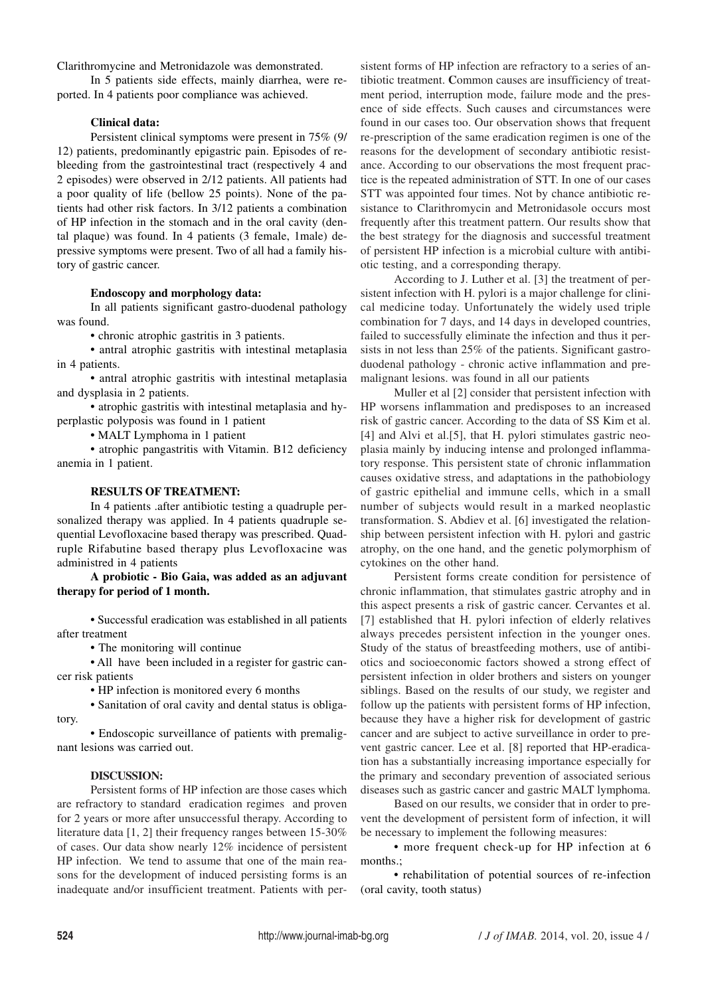Clarithromycine and Metronidazole was demonstrated.

In 5 patients side effects, mainly diarrhea, were reported. In 4 patients poor compliance was achieved.

## **Clinical data:**

Persistent clinical symptoms were present in 75% (9/ 12) patients, predominantly epigastric pain. Episodes of rebleeding from the gastrointestinal tract (respectively 4 and 2 episodes) were observed in 2/12 patients. All patients had a poor quality of life (bellow 25 points). None of the patients had other risk factors. In 3/12 patients a combination of HP infection in the stomach and in the oral cavity (dental plaque) was found. In 4 patients (3 female, 1male) depressive symptoms were present. Two of all had a family history of gastric cancer.

#### **Endoscopy and morphology data:**

In all patients significant gastro-duodenal pathology was found.

**•** chronic atrophic gastritis in 3 patients.

**•** antral atrophic gastritis with intestinal metaplasia in 4 patients.

**•** antral atrophic gastritis with intestinal metaplasia and dysplasia in 2 patients.

**•** atrophic gastritis with intestinal metaplasia and hyperplastic polyposis was found in 1 patient

**•** MALT Lymphoma in 1 patient

**•** atrophic pangastritis with Vitamin. B12 deficiency anemia in 1 patient.

#### **RESULTS OF TREATMENT:**

In 4 patients .after antibiotic testing a quadruple personalized therapy was applied. In 4 patients quadruple sequential Levofloxacine based therapy was prescribed. Quadruple Rifabutine based therapy plus Levofloxacine was administred in 4 patients

### **A probiotic - Bio Gaia, was added as an adjuvant therapy for period of 1 month.**

**•** Successful eradication was established in all patients after treatment

**•** The monitoring will continue

**•** All have been included in a register for gastric cancer risk patients

**•** HP infection is monitored every 6 months

**•** Sanitation of oral cavity and dental status is obligatory.

**•** Endoscopic surveillance of patients with premalignant lesions was carried out.

#### **DISCUSSION:**

Persistent forms of HP infection are those cases which are refractory to standard eradication regimes and proven for 2 years or more after unsuccessful therapy. According to literature data [1, 2] their frequency ranges between 15-30% of cases. Our data show nearly 12% incidence of persistent HP infection. We tend to assume that one of the main reasons for the development of induced persisting forms is an inadequate and/or insufficient treatment. Patients with per-

sistent forms of HP infection are refractory to a series of antibiotic treatment. **C**ommon causes are insufficiency of treatment period, interruption mode, failure mode and the presence of side effects. Such causes and circumstances were found in our cases too. Our observation shows that frequent re-prescription of the same eradication regimen is one of the reasons for the development of secondary antibiotic resistance. According to our observations the most frequent practice is the repeated administration of STT. In one of our cases STT was appointed four times. Not by chance antibiotic resistance to Clarithromycin and Metronidasole occurs most frequently after this treatment pattern. Our results show that the best strategy for the diagnosis and successful treatment of persistent HP infection is a microbial culture with antibiotic testing, and a corresponding therapy.

According to J. Luther et al. [3] the treatment of persistent infection with H. pylori is a major challenge for clinical medicine today. Unfortunately the widely used triple combination for 7 days, and 14 days in developed countries, failed to successfully eliminate the infection and thus it persists in not less than 25% of the patients. Significant gastroduodenal pathology - chronic active inflammation and premalignant lesions. was found in all our patients

Muller et al [2] consider that persistent infection with HP worsens inflammation and predisposes to an increased risk of gastric cancer. According to the data of SS Kim et al. [4] and Alvi et al.[5], that H. pylori stimulates gastric neoplasia mainly by inducing intense and prolonged inflammatory response. This persistent state of chronic inflammation causes oxidative stress, and adaptations in the pathobiology of gastric epithelial and immune cells, which in a small number of subjects would result in a marked neoplastic transformation. S. Abdiev et al. [6] investigated the relationship between persistent infection with H. pylori and gastric atrophy, on the one hand, and the genetic polymorphism of cytokines on the other hand.

Persistent forms create condition for persistence of chronic inflammation, that stimulates gastric atrophy and in this aspect presents a risk of gastric cancer. Cervantes et al. [7] established that H. pylori infection of elderly relatives always precedes persistent infection in the younger ones. Study of the status of breastfeeding mothers, use of antibiotics and socioeconomic factors showed a strong effect of persistent infection in older brothers and sisters on younger siblings. Based on the results of our study, we register and follow up the patients with persistent forms of HP infection, because they have a higher risk for development of gastric cancer and are subject to active surveillance in order to prevent gastric cancer. Lee et al. [8] reported that HP-eradication has a substantially increasing importance especially for the primary and secondary prevention of associated serious diseases such as gastric cancer and gastric MALT lymphoma.

Based on our results, we consider that in order to prevent the development of persistent form of infection, it will be necessary to implement the following measures:

**•** more frequent check-up for HP infection at 6 months.;

**•** rehabilitation of potential sources of re-infection (oral cavity, tooth status)